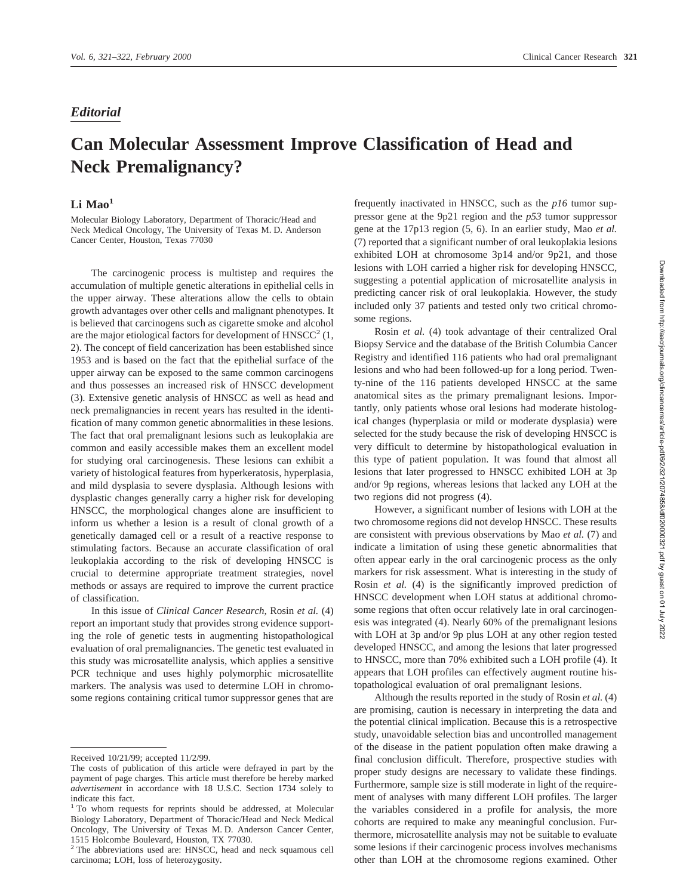## *Editorial*

## **Can Molecular Assessment Improve Classification of Head and Neck Premalignancy?**

## Li Mao<sup>1</sup>

Molecular Biology Laboratory, Department of Thoracic/Head and Neck Medical Oncology, The University of Texas M. D. Anderson Cancer Center, Houston, Texas 77030

The carcinogenic process is multistep and requires the accumulation of multiple genetic alterations in epithelial cells in the upper airway. These alterations allow the cells to obtain growth advantages over other cells and malignant phenotypes. It is believed that carcinogens such as cigarette smoke and alcohol are the major etiological factors for development of  $HNSCC<sup>2</sup>$  (1, 2). The concept of field cancerization has been established since 1953 and is based on the fact that the epithelial surface of the upper airway can be exposed to the same common carcinogens and thus possesses an increased risk of HNSCC development (3). Extensive genetic analysis of HNSCC as well as head and neck premalignancies in recent years has resulted in the identification of many common genetic abnormalities in these lesions. The fact that oral premalignant lesions such as leukoplakia are common and easily accessible makes them an excellent model for studying oral carcinogenesis. These lesions can exhibit a variety of histological features from hyperkeratosis, hyperplasia, and mild dysplasia to severe dysplasia. Although lesions with dysplastic changes generally carry a higher risk for developing HNSCC, the morphological changes alone are insufficient to inform us whether a lesion is a result of clonal growth of a genetically damaged cell or a result of a reactive response to stimulating factors. Because an accurate classification of oral leukoplakia according to the risk of developing HNSCC is crucial to determine appropriate treatment strategies, novel methods or assays are required to improve the current practice of classification.

In this issue of *Clinical Cancer Research*, Rosin *et al.* (4) report an important study that provides strong evidence supporting the role of genetic tests in augmenting histopathological evaluation of oral premalignancies. The genetic test evaluated in this study was microsatellite analysis, which applies a sensitive PCR technique and uses highly polymorphic microsatellite markers. The analysis was used to determine LOH in chromosome regions containing critical tumor suppressor genes that are

frequently inactivated in HNSCC, such as the *p16* tumor suppressor gene at the 9p21 region and the *p53* tumor suppressor gene at the 17p13 region (5, 6). In an earlier study, Mao *et al.* (7) reported that a significant number of oral leukoplakia lesions exhibited LOH at chromosome 3p14 and/or 9p21, and those lesions with LOH carried a higher risk for developing HNSCC, suggesting a potential application of microsatellite analysis in predicting cancer risk of oral leukoplakia. However, the study included only 37 patients and tested only two critical chromosome regions.

Rosin *et al.* (4) took advantage of their centralized Oral Biopsy Service and the database of the British Columbia Cancer Registry and identified 116 patients who had oral premalignant lesions and who had been followed-up for a long period. Twenty-nine of the 116 patients developed HNSCC at the same anatomical sites as the primary premalignant lesions. Importantly, only patients whose oral lesions had moderate histological changes (hyperplasia or mild or moderate dysplasia) were selected for the study because the risk of developing HNSCC is very difficult to determine by histopathological evaluation in this type of patient population. It was found that almost all lesions that later progressed to HNSCC exhibited LOH at 3p and/or 9p regions, whereas lesions that lacked any LOH at the two regions did not progress (4).

However, a significant number of lesions with LOH at the two chromosome regions did not develop HNSCC. These results are consistent with previous observations by Mao *et al.* (7) and indicate a limitation of using these genetic abnormalities that often appear early in the oral carcinogenic process as the only markers for risk assessment. What is interesting in the study of Rosin *et al.* (4) is the significantly improved prediction of HNSCC development when LOH status at additional chromosome regions that often occur relatively late in oral carcinogenesis was integrated (4). Nearly 60% of the premalignant lesions with LOH at 3p and/or 9p plus LOH at any other region tested developed HNSCC, and among the lesions that later progressed to HNSCC, more than 70% exhibited such a LOH profile (4). It appears that LOH profiles can effectively augment routine histopathological evaluation of oral premalignant lesions.

Although the results reported in the study of Rosin *et al.* (4) are promising, caution is necessary in interpreting the data and the potential clinical implication. Because this is a retrospective study, unavoidable selection bias and uncontrolled management of the disease in the patient population often make drawing a final conclusion difficult. Therefore, prospective studies with proper study designs are necessary to validate these findings. Furthermore, sample size is still moderate in light of the requirement of analyses with many different LOH profiles. The larger the variables considered in a profile for analysis, the more cohorts are required to make any meaningful conclusion. Furthermore, microsatellite analysis may not be suitable to evaluate some lesions if their carcinogenic process involves mechanisms other than LOH at the chromosome regions examined. Other

Received 10/21/99; accepted 11/2/99.

The costs of publication of this article were defrayed in part by the payment of page charges. This article must therefore be hereby marked *advertisement* in accordance with 18 U.S.C. Section 1734 solely to indicate this fact.

<sup>&</sup>lt;sup>1</sup> To whom requests for reprints should be addressed, at Molecular Biology Laboratory, Department of Thoracic/Head and Neck Medical Oncology, The University of Texas M. D. Anderson Cancer Center, 1515 Holcombe Boulevard, Houston, TX 77030.

<sup>2</sup> The abbreviations used are: HNSCC, head and neck squamous cell carcinoma; LOH, loss of heterozygosity.